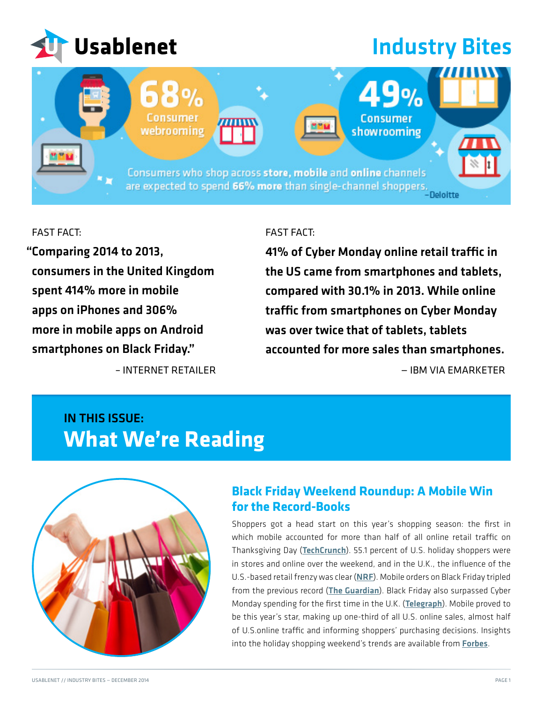

# **Industry Bites**

.9%

Consumer showrooming

Consumers who shop across store, mobile and online channels are expected to spend 66% more than single-channel shoppers.

### FAST FACT:

Comparing 2014 to 2013, " consumers in the United Kingdom spent 414% more in mobile apps on iPhones and 306% more in mobile apps on Android smartphones on Black Friday."

[– INTERNET RETAILER](https://www.internetretailer.com/2014/12/05/retail-sales-mobile-app-skyrocket-uks-black-friday?mkt_tok=3RkMMJWWfF9wsRoks6vNZKXonjHpfsX57%2BkpWK%2B%2BlMI%2F0ER3fOvrPUfGjI4DScJlI%2BSLDwEYGJlv6SgFTLTBMbJ60rgEXRg%3D)

Consumer

vebrooming

#### FAST FACT:

41% of Cyber Monday online retail traffic in the US came from smartphones and tablets, compared with 30.1% in 2013. While online traffic from smartphones on Cyber Monday was over twice that of tablets, tablets accounted for more sales than smartphones. — IBM VIA [EMARKETER](http://www.emarketer.com/Article/How-Mobile-Was-Cyber-Monday/1011671?mkt_tok=3RkMMJWWfF9wsRoks6vNZKXonjHpfsX57%2BkpWK%2B%2BlMI%2F0ER3fOvrPUfGjI4DScJlI%2BSLDwEYGJlv6SgFTLTBMbJ60rgEXRg%3D)

# IN THIS ISSUE: **What We're Reading**



## **Black Friday Weekend Roundup: A Mobile Win for the Record-Books**

Shoppers got a head start on this year's shopping season: the first in which mobile accounted for more than half of all online retail traffic on Thanksgiving Day ([TechCrunch](http://techcrunch.com/2014/11/28/black-friday-online-sales-up-8-5-over-last-year-20-of-sales-came-from-ios/?mkt_tok=3RkMMJWWfF9wsRoks6vNZKXonjHpfsX57%2BkpWK%2B%2BlMI%2F0ER3fOvrPUfGjI4DScJlI%2BSLDwEYGJlv6SgFTLTBMbJ60rgEXRg%3D)). 55.1 percent of U.S. holiday shoppers were in stores and online over the weekend, and in the U.K., the influence of the U.S.-based retail frenzy was clear ([NRF](https://nrf.com/media/press-releases/early-promotions-online-shopping-and-improving-economy-changing-the-face-of?mkt_tok=3RkMMJWWfF9wsRoks6vNZKXonjHpfsX57%2BkpWK%2B%2BlMI%2F0ER3fOvrPUfGjI4DScJlI%2BSLDwEYGJlv6SgFTLTBMbJ60rgEXRg%3D)). Mobile orders on Black Friday tripled from the previous record ([The Guardian](http://www.theguardian.com/business/2013/dec/02/christmas-shopping-cyber-monday-black-friday?mkt_tok=3RkMMJWWfF9wsRoks6vNZKXonjHpfsX57%2BkpWK%2B%2BlMI%2F0ER3fOvrPUfGjI4DScJlI%2BSLDwEYGJlv6SgFTLTBMbJ60rgEXRg%3D)). Black Friday also surpassed Cyber Monday spending for the first time in the U.K. ([Telegraph](http://www.telegraph.co.uk/finance/newsbysector/retailandconsumer/11268741/Black-Friday-overtakes-Cyber-Monday-for-the-first-time.html?mkt_tok=3RkMMJWWfF9wsRoks6vNZKXonjHpfsX57%2BkpWK%2B%2BlMI%2F0ER3fOvrPUfGjI4DScJlI%2BSLDwEYGJlv6SgFTLTBMbJ60rgEXRg%3D)). Mobile proved to be this year's star, making up one-third of all U.S. online sales, almost half of U.S.online traffic and informing shoppers' purchasing decisions. Insights into the holiday shopping weekend's trends are available from **[Forbes](http://www.forbes.com/fdc/welcome_mjx.shtml)**.